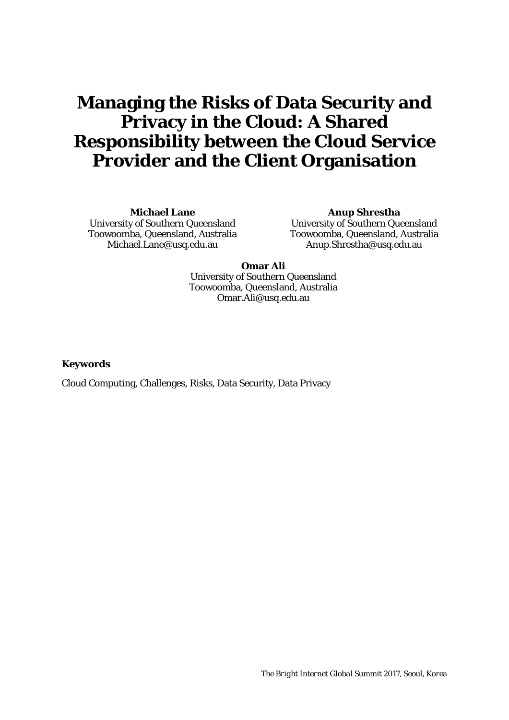## **Managing the Risks of Data Security and Privacy in the Cloud: A Shared Responsibility between the Cloud Service Provider and the Client Organisation**

**Michael Lane** University of Southern Queensland Toowoomba, Queensland, Australia Michael.Lane@usq.edu.au

**Anup Shrestha** University of Southern Queensland Toowoomba, Queensland, Australia Anup.Shrestha@usq.edu.au

**Omar Ali** University of Southern Queensland Toowoomba, Queensland, Australia Omar.Ali@usq.edu.au

**Keywords** 

Cloud Computing, Challenges, Risks, Data Security, Data Privacy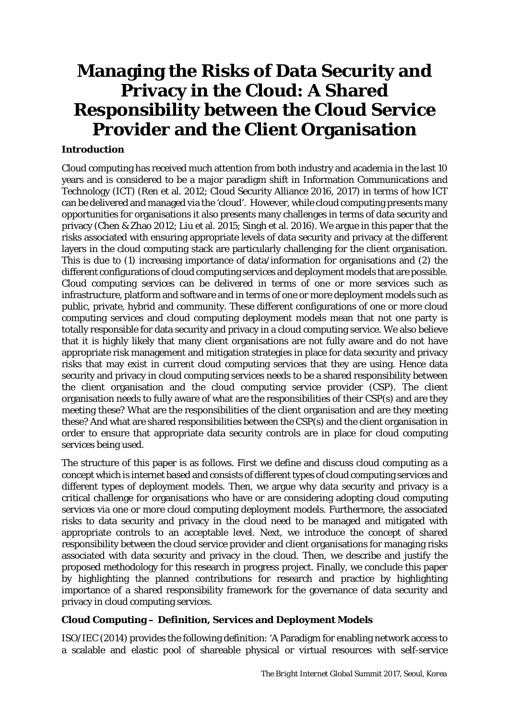# **Managing the Risks of Data Security and Privacy in the Cloud: A Shared Responsibility between the Cloud Service Provider and the Client Organisation**

### **Introduction**

Cloud computing has received much attention from both industry and academia in the last 10 years and is considered to be a major paradigm shift in Information Communications and Technology (ICT) (Ren et al. 2012; Cloud Security Alliance 2016, 2017) in terms of how ICT can be delivered and managed via the 'cloud'. However, while cloud computing presents many opportunities for organisations it also presents many challenges in terms of data security and privacy (Chen & Zhao 2012; Liu et al. 2015; Singh et al. 2016). We argue in this paper that the risks associated with ensuring appropriate levels of data security and privacy at the different layers in the cloud computing stack are particularly challenging for the client organisation. This is due to (1) increasing importance of data/information for organisations and (2) the different configurations of cloud computing services and deployment models that are possible. Cloud computing services can be delivered in terms of one or more services such as infrastructure, platform and software and in terms of one or more deployment models such as public, private, hybrid and community. These different configurations of one or more cloud computing services and cloud computing deployment models mean that not one party is totally responsible for data security and privacy in a cloud computing service. We also believe that it is highly likely that many client organisations are not fully aware and do not have appropriate risk management and mitigation strategies in place for data security and privacy risks that may exist in current cloud computing services that they are using. Hence data security and privacy in cloud computing services needs to be a shared responsibility between the client organisation and the cloud computing service provider (CSP). The client organisation needs to fully aware of what are the responsibilities of their CSP(s) and are they meeting these? What are the responsibilities of the client organisation and are they meeting these? And what are shared responsibilities between the CSP(s) and the client organisation in order to ensure that appropriate data security controls are in place for cloud computing services being used.

The structure of this paper is as follows. First we define and discuss cloud computing as a concept which is internet based and consists of different types of cloud computing services and different types of deployment models. Then, we argue why data security and privacy is a critical challenge for organisations who have or are considering adopting cloud computing services via one or more cloud computing deployment models. Furthermore, the associated risks to data security and privacy in the cloud need to be managed and mitigated with appropriate controls to an acceptable level. Next, we introduce the concept of shared responsibility between the cloud service provider and client organisations for managing risks associated with data security and privacy in the cloud. Then, we describe and justify the proposed methodology for this research in progress project. Finally, we conclude this paper by highlighting the planned contributions for research and practice by highlighting importance of a shared responsibility framework for the governance of data security and privacy in cloud computing services.

### **Cloud Computing – Definition, Services and Deployment Models**

ISO/IEC (2014) provides the following definition: 'A Paradigm for enabling network access to a scalable and elastic pool of shareable physical or virtual resources with self-service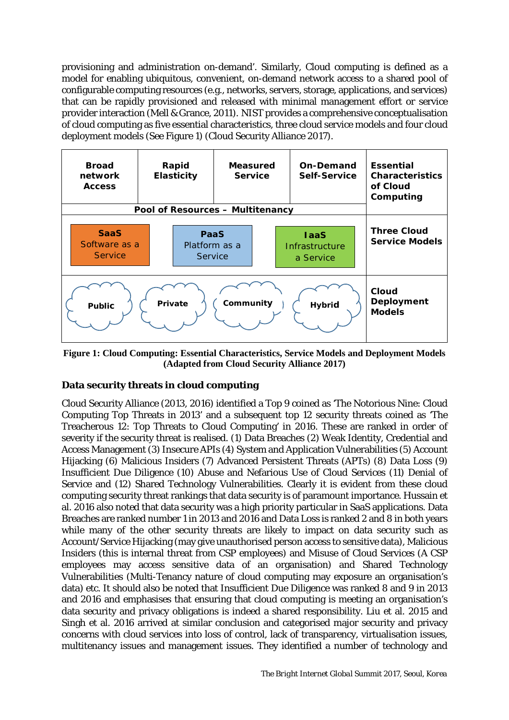provisioning and administration on-demand'. Similarly, Cloud computing is defined as a model for enabling ubiquitous, convenient, on-demand network access to a shared pool of configurable computing resources (e.g., networks, servers, storage, applications, and services) that can be rapidly provisioned and released with minimal management effort or service provider interaction (Mell & Grance, 2011). NIST provides a comprehensive conceptualisation of cloud computing as five essential characteristics, three cloud service models and four cloud deployment models (See Figure 1) (Cloud Security Alliance 2017).



**Figure 1: Cloud Computing: Essential Characteristics, Service Models and Deployment Models (Adapted from Cloud Security Alliance 2017)**

### **Data security threats in cloud computing**

Cloud Security Alliance (2013, 2016) identified a Top 9 coined as 'The Notorious Nine: Cloud Computing Top Threats in 2013' and a subsequent top 12 security threats coined as 'The Treacherous 12: Top Threats to Cloud Computing' in 2016. These are ranked in order of severity if the security threat is realised. (1) Data Breaches (2) Weak Identity, Credential and Access Management (3) Insecure APIs (4) System and Application Vulnerabilities (5) Account Hijacking (6) Malicious Insiders (7) Advanced Persistent Threats (APTs) (8) Data Loss (9) Insufficient Due Diligence (10) Abuse and Nefarious Use of Cloud Services (11) Denial of Service and (12) Shared Technology Vulnerabilities. Clearly it is evident from these cloud computing security threat rankings that data security is of paramount importance. Hussain et al. 2016 also noted that data security was a high priority particular in SaaS applications. Data Breaches are ranked number 1 in 2013 and 2016 and Data Loss is ranked 2 and 8 in both years while many of the other security threats are likely to impact on data security such as Account/Service Hijacking (may give unauthorised person access to sensitive data), Malicious Insiders (this is internal threat from CSP employees) and Misuse of Cloud Services (A CSP employees may access sensitive data of an organisation) and Shared Technology Vulnerabilities (Multi-Tenancy nature of cloud computing may exposure an organisation's data) etc. It should also be noted that Insufficient Due Diligence was ranked 8 and 9 in 2013 and 2016 and emphasises that ensuring that cloud computing is meeting an organisation's data security and privacy obligations is indeed a shared responsibility. Liu et al. 2015 and Singh et al. 2016 arrived at similar conclusion and categorised major security and privacy concerns with cloud services into loss of control, lack of transparency, virtualisation issues, multitenancy issues and management issues. They identified a number of technology and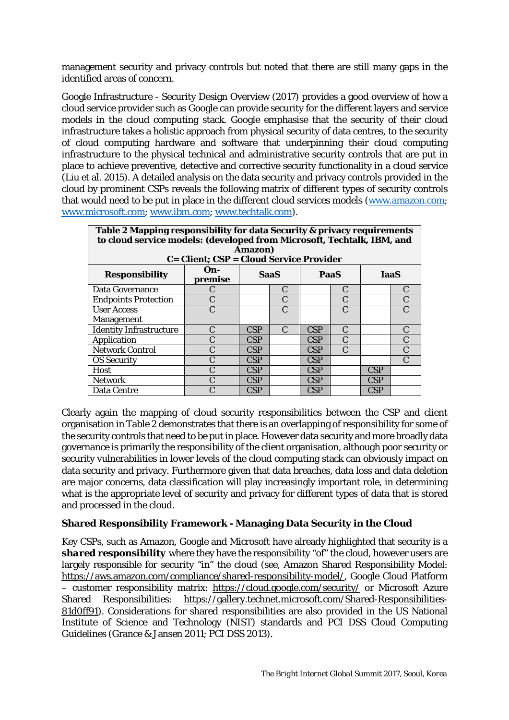management security and privacy controls but noted that there are still many gaps in the identified areas of concern.

Google Infrastructure - Security Design Overview (2017) provides a good overview of how a cloud service provider such as Google can provide security for the different layers and service models in the cloud computing stack. Google emphasise that the security of their cloud infrastructure takes a holistic approach from physical security of data centres, to the security of cloud computing hardware and software that underpinning their cloud computing infrastructure to the physical technical and administrative security controls that are put in place to achieve preventive, detective and corrective security functionality in a cloud service (Liu et al. 2015). A detailed analysis on the data security and privacy controls provided in the cloud by prominent CSPs reveals the following matrix of different types of security controls that would need to be put in place in the different cloud services models [\(www.amazon.com;](http://www.amazon.com/) [www.microsoft.com;](http://www.microsoft.com/) [www.ibm.com;](http://www.ibm.com/) [www.techtalk.com\)](http://www.techtalk.com/).

| Table 2 Mapping responsibility for data Security & privacy requirements<br>to cloud service models: (developed from Microsoft, Techtalk, IBM, and |                   |             |               |            |               |             |   |
|---------------------------------------------------------------------------------------------------------------------------------------------------|-------------------|-------------|---------------|------------|---------------|-------------|---|
| Amazon)<br>C= Client; CSP = Cloud Service Provider                                                                                                |                   |             |               |            |               |             |   |
| <b>Responsibility</b>                                                                                                                             | $On -$<br>premise | <b>SaaS</b> |               | PaaS       |               | <b>IaaS</b> |   |
| Data Governance                                                                                                                                   | C                 |             | C             |            | C             |             | C |
| <b>Endpoints Protection</b>                                                                                                                       | $\mathsf{C}$      |             | C             |            | $\mathcal{C}$ |             |   |
| <b>User Access</b>                                                                                                                                | $\mathcal{C}$     |             | $\mathbf C$   |            | C             |             |   |
| <b>Management</b>                                                                                                                                 |                   |             |               |            |               |             |   |
| <b>Identity Infrastructure</b>                                                                                                                    | C                 | CSP         | $\mathcal{C}$ | CSP        | C             |             |   |
| Application                                                                                                                                       | C                 | CSP         |               | CSP        | $\mathcal{C}$ |             |   |
| <b>Network Control</b>                                                                                                                            | C                 | CSP         |               | CSP        | $\mathcal{C}$ |             |   |
| <b>OS Security</b>                                                                                                                                | C                 | CSP         |               | <b>CSP</b> |               |             |   |
| Host                                                                                                                                              |                   | CSP         |               | CSP        |               | CSP         |   |
| <b>Network</b>                                                                                                                                    |                   | <b>CSP</b>  |               | <b>CSP</b> |               | <b>CSP</b>  |   |
| Data Centre                                                                                                                                       |                   | CSP         |               | CSP        |               | CSP         |   |

Clearly again the mapping of cloud security responsibilities between the CSP and client organisation in Table 2 demonstrates that there is an overlapping of responsibility for some of the security controls that need to be put in place. However data security and more broadly data governance is primarily the responsibility of the client organisation, although poor security or security vulnerabilities in lower levels of the cloud computing stack can obviously impact on data security and privacy. Furthermore given that data breaches, data loss and data deletion are major concerns, data classification will play increasingly important role, in determining what is the appropriate level of security and privacy for different types of data that is stored and processed in the cloud.

### **Shared Responsibility Framework - Managing Data Security in the Cloud**

Key CSPs, such as Amazon, Google and Microsoft have already highlighted that security is a *shared responsibility* where they have the responsibility "of" the cloud, however users are largely responsible for security "in" the cloud (see, Amazon Shared Responsibility Model: [https://aws.amazon.com/compliance/shared-responsibility-model/,](https://aws.amazon.com/compliance/shared-responsibility-model/) Google Cloud Platform – customer responsibility matrix: <https://cloud.google.com/security/> or Microsoft Azure Shared Responsibilities: [https://gallery.technet.microsoft.com/Shared-Responsibilities-](https://gallery.technet.microsoft.com/Shared-Responsibilities-81d0ff91)[81d0ff91\)](https://gallery.technet.microsoft.com/Shared-Responsibilities-81d0ff91). Considerations for shared responsibilities are also provided in the US National Institute of Science and Technology (NIST) standards and PCI DSS Cloud Computing Guidelines (Grance & Jansen 2011; PCI DSS 2013).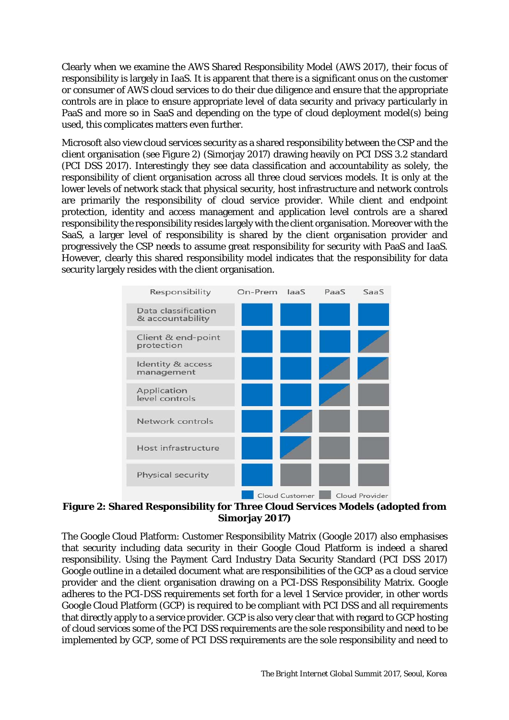Clearly when we examine the AWS Shared Responsibility Model (AWS 2017), their focus of responsibility is largely in IaaS. It is apparent that there is a significant onus on the customer or consumer of AWS cloud services to do their due diligence and ensure that the appropriate controls are in place to ensure appropriate level of data security and privacy particularly in PaaS and more so in SaaS and depending on the type of cloud deployment model(s) being used, this complicates matters even further.

Microsoft also view cloud services security as a shared responsibility between the CSP and the client organisation (see Figure 2) (Simorjay 2017) drawing heavily on PCI DSS 3.2 standard (PCI DSS 2017). Interestingly they see data classification and accountability as solely, the responsibility of client organisation across all three cloud services models. It is only at the lower levels of network stack that physical security, host infrastructure and network controls are primarily the responsibility of cloud service provider. While client and endpoint protection, identity and access management and application level controls are a shared responsibility the responsibility resides largely with the client organisation. Moreover with the SaaS, a larger level of responsibility is shared by the client organisation provider and progressively the CSP needs to assume great responsibility for security with PaaS and IaaS. However, clearly this shared responsibility model indicates that the responsibility for data security largely resides with the client organisation.



#### **Figure 2: Shared Responsibility for Three Cloud Services Models (adopted from Simorjay 2017)**

The Google Cloud Platform: Customer Responsibility Matrix (Google 2017) also emphasises that security including data security in their Google Cloud Platform is indeed a shared responsibility. Using the Payment Card Industry Data Security Standard (PCI DSS 2017) Google outline in a detailed document what are responsibilities of the GCP as a cloud service provider and the client organisation drawing on a PCI-DSS Responsibility Matrix. Google adheres to the PCI-DSS requirements set forth for a level 1 Service provider, in other words Google Cloud Platform (GCP) is required to be compliant with PCI DSS and all requirements that directly apply to a service provider. GCP is also very clear that with regard to GCP hosting of cloud services some of the PCI DSS requirements are the sole responsibility and need to be implemented by GCP, some of PCI DSS requirements are the sole responsibility and need to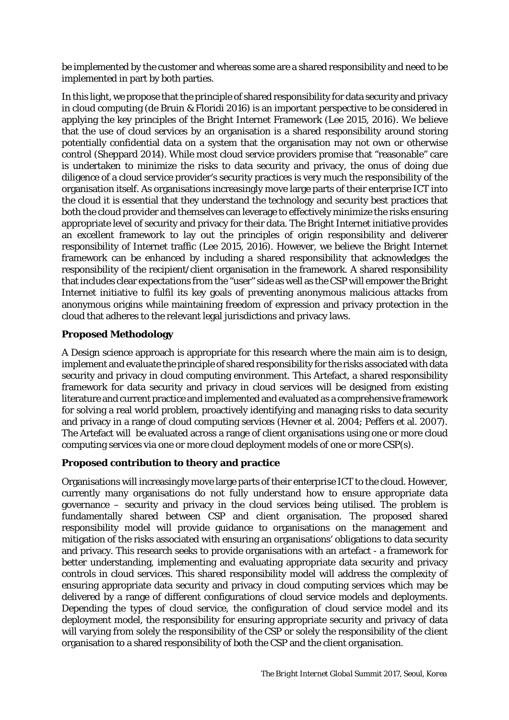be implemented by the customer and whereas some are a shared responsibility and need to be implemented in part by both parties.

In this light, we propose that the principle of shared responsibility for data security and privacy in cloud computing (de Bruin & Floridi 2016) is an important perspective to be considered in applying the key principles of the Bright Internet Framework (Lee 2015, 2016). We believe that the use of cloud services by an organisation is a shared responsibility around storing potentially confidential data on a system that the organisation may not own or otherwise control (Sheppard 2014). While most cloud service providers promise that "reasonable" care is undertaken to minimize the risks to data security and privacy, the onus of doing due diligence of a cloud service provider's security practices is very much the responsibility of the organisation itself. As organisations increasingly move large parts of their enterprise ICT into the cloud it is essential that they understand the technology and security best practices that both the cloud provider and themselves can leverage to effectively minimize the risks ensuring appropriate level of security and privacy for their data. The Bright Internet initiative provides an excellent framework to lay out the principles of origin responsibility and deliverer responsibility of Internet traffic (Lee 2015, 2016). However, we believe the Bright Internet framework can be enhanced by including a shared responsibility that acknowledges the responsibility of the recipient/client organisation in the framework. A shared responsibility that includes clear expectations from the "user" side as well as the CSP will empower the Bright Internet initiative to fulfil its key goals of preventing anonymous malicious attacks from anonymous origins while maintaining freedom of expression and privacy protection in the cloud that adheres to the relevant legal jurisdictions and privacy laws.

## **Proposed Methodology**

A Design science approach is appropriate for this research where the main aim is to design, implement and evaluate the principle of shared responsibility for the risks associated with data security and privacy in cloud computing environment. This Artefact, a shared responsibility framework for data security and privacy in cloud services will be designed from existing literature and current practice and implemented and evaluated as a comprehensive framework for solving a real world problem, proactively identifying and managing risks to data security and privacy in a range of cloud computing services (Hevner et al. 2004; Peffers et al. 2007). The Artefact will be evaluated across a range of client organisations using one or more cloud computing services via one or more cloud deployment models of one or more CSP(s).

### **Proposed contribution to theory and practice**

Organisations will increasingly move large parts of their enterprise ICT to the cloud. However, currently many organisations do not fully understand how to ensure appropriate data governance – security and privacy in the cloud services being utilised. The problem is fundamentally shared between CSP and client organisation. The proposed shared responsibility model will provide guidance to organisations on the management and mitigation of the risks associated with ensuring an organisations' obligations to data security and privacy. This research seeks to provide organisations with an artefact - a framework for better understanding, implementing and evaluating appropriate data security and privacy controls in cloud services. This shared responsibility model will address the complexity of ensuring appropriate data security and privacy in cloud computing services which may be delivered by a range of different configurations of cloud service models and deployments. Depending the types of cloud service, the configuration of cloud service model and its deployment model, the responsibility for ensuring appropriate security and privacy of data will varying from solely the responsibility of the CSP or solely the responsibility of the client organisation to a shared responsibility of both the CSP and the client organisation.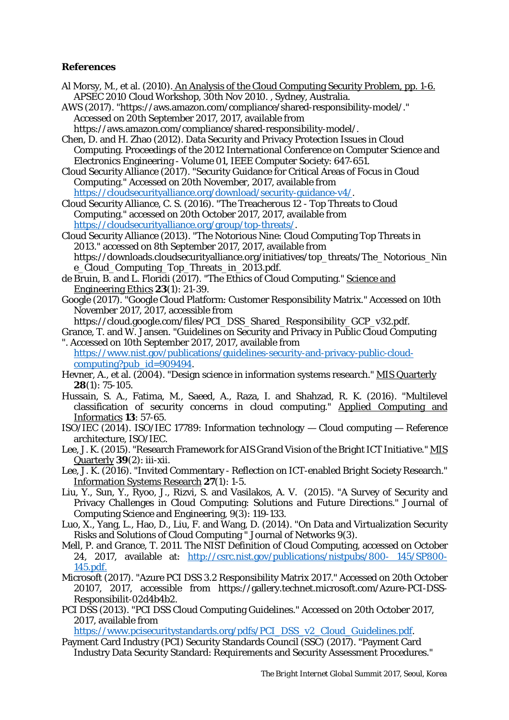#### **References**

Al Morsy, M., et al. (2010). An Analysis of the Cloud Computing Security Problem, pp. 1-6. APSEC 2010 Cloud Workshop, 30th Nov 2010. , Sydney, Australia.

AWS (2017). "https://aws.amazon.com/compliance/shared-responsibility-model/." Accessed on 20th September 2017, 2017, available from https://aws.amazon.com/compliance/shared-responsibility-model/.

Chen, D. and H. Zhao (2012). Data Security and Privacy Protection Issues in Cloud Computing. Proceedings of the 2012 International Conference on Computer Science and Electronics Engineering - Volume 01, IEEE Computer Society: 647-651.

Cloud Security Alliance (2017). "Security Guidance for Critical Areas of Focus in Cloud Computing." Accessed on 20th November, 2017, available from [https://cloudsecurityalliance.org/download/security-guidance-v4/.](https://cloudsecurityalliance.org/download/security-guidance-v4/)

Cloud Security Alliance, C. S. (2016). "The Treacherous 12 - Top Threats to Cloud Computing." accessed on 20th October 2017, 2017, available from [https://cloudsecurityalliance.org/group/top-threats/.](https://cloudsecurityalliance.org/group/top-threats/)

- Cloud Security Alliance (2013). "The Notorious Nine: Cloud Computing Top Threats in 2013." accessed on 8th September 2017, 2017, available from https://downloads.cloudsecurityalliance.org/initiatives/top\_threats/The\_Notorious\_Nin e\_Cloud\_Computing\_Top\_Threats\_in\_2013.pdf.
- de Bruin, B. and L. Floridi (2017). "The Ethics of Cloud Computing." Science and Engineering Ethics **23**(1): 21-39.
- Google (2017). "Google Cloud Platform: Customer Responsibility Matrix." Accessed on 10th November 2017, 2017, accessible from

https://cloud.google.com/files/PCI\_DSS\_Shared\_Responsibility\_GCP\_v32.pdf.

Grance, T. and W. Jansen. "Guidelines on Security and Privacy in Public Cloud Computing ". Accessed on 10th September 2017, 2017, available from

[https://www.nist.gov/publications/guidelines-security-and-privacy-public-cloud](https://www.nist.gov/publications/guidelines-security-and-privacy-public-cloud-computing?pub_id=909494)computing?pub\_ $id=909494$ .

- Hevner, A., et al. (2004). "Design science in information systems research." MIS Quarterly **28**(1): 75-105.
- Hussain, S. A., Fatima, M., Saeed, A., Raza, I. and Shahzad, R. K. (2016). "Multilevel classification of security concerns in cloud computing." Applied Computing and Informatics **13**: 57-65.
- ISO/IEC (2014). ISO/IEC 17789: Information technology Cloud computing Reference architecture, ISO/IEC.
- Lee, J. K. (2015). "Research Framework for AIS Grand Vision of the Bright ICT Initiative." MIS Quarterly **39**(2): iii-xii.
- Lee, J. K. (2016). "Invited Commentary Reflection on ICT-enabled Bright Society Research." Information Systems Research **27**(1): 1-5.
- Liu, Y., Sun, Y., Ryoo, J., Rizvi, S. and Vasilakos, A. V. (2015). "A Survey of Security and Privacy Challenges in Cloud Computing: Solutions and Future Directions." Journal of Computing Science and Engineering, 9(3): 119-133.
- Luo, X., Yang, L., Hao, D., Liu, F. and Wang, D. (2014). "On Data and Virtualization Security Risks and Solutions of Cloud Computing " Journal of Networks 9(3).
- Mell, P. and Grance, T. 2011. The NIST Definition of Cloud Computing, accessed on October 24, 2017, available at: [http://csrc.nist.gov/publications/nistpubs/800-](http://csrc.nist.gov/publications/nistpubs/800-%20145/SP800-145.pdf) 145/SP800- [145.pdf.](http://csrc.nist.gov/publications/nistpubs/800-%20145/SP800-145.pdf)
- Microsoft (2017). "Azure PCI DSS 3.2 Responsibility Matrix 2017." Accessed on 20th October 20107, 2017, accessible from https://gallery.technet.microsoft.com/Azure-PCI-DSS-Responsibilit-02d4b4b2.
- PCI DSS (2013). "PCI DSS Cloud Computing Guidelines." Accessed on 20th October 2017, 2017, available from

[https://www.pcisecuritystandards.org/pdfs/PCI\\_DSS\\_v2\\_Cloud\\_Guidelines.pdf.](https://www.pcisecuritystandards.org/pdfs/PCI_DSS_v2_Cloud_Guidelines.pdf)

Payment Card Industry (PCI) Security Standards Council (SSC) (2017). "Payment Card Industry Data Security Standard: Requirements and Security Assessment Procedures."